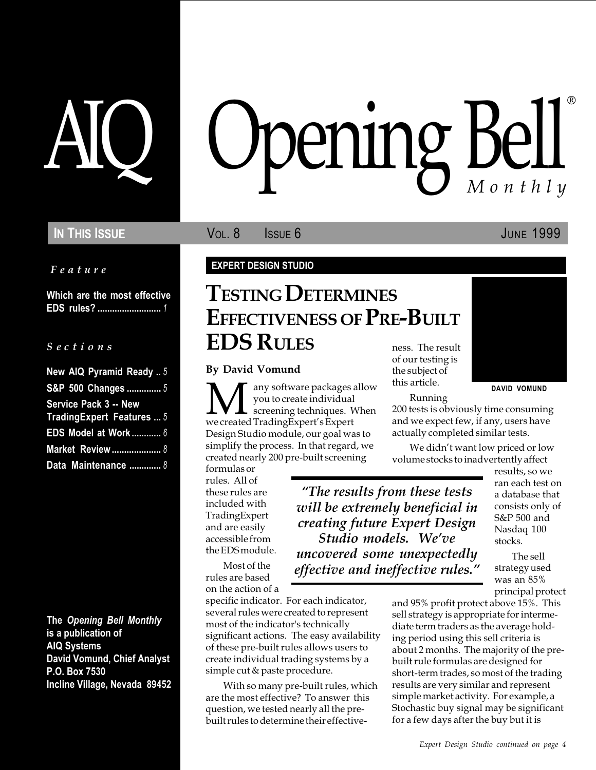### IN THIS ISSUE **VOL. 8** ISSUE 6 JUNE 1999

Feature

Which are the most effective EDS rules? .......................... 1

### $S$  e c t i o n s

| New AIQ Pyramid Ready  5     |  |
|------------------------------|--|
| S&P 500 Changes  5           |  |
| <b>Service Pack 3 -- New</b> |  |
| Trading Expert Features  5   |  |
| EDS Model at Work 6          |  |
| <b>Market Review </b> 8      |  |
| Data Maintenance  8          |  |

The Opening Bell Monthly is a publication of AIQ Systems David Vomund, Chief Analyst P.O. Box 7530 Incline Village, Nevada 89452

# pening Bell ®

### EXPERT DESIGN STUDIO

### TESTING DETERMINES EFFECTIVENESS OF PRE-BUILT EDS RULES

### By David Vomund

**M** any software packages allow<br>you to create individual<br>we created TradingExpert's Expert you to create individual screening techniques. When we created TradingExpert's Expert Design Studio module, our goal was to simplify the process. In that regard, we created nearly 200 pre-built screening

formulas or rules. All of these rules are included with TradingExpert and are easily accessible from the EDS module.

The results from these tests will be extremely beneficial in creating future Expert Design Studio models. We've uncovered some unexpectedly effective and ineffective rules.

Most of the rules are based on the action of a

specific indicator. For each indicator, several rules were created to represent most of the indicator's technically significant actions. The easy availability of these pre-built rules allows users to create individual trading systems by a simple cut & paste procedure.

With so many pre-built rules, which are the most effective? To answer this question, we tested nearly all the prebuilt rules to determine their effectiveness. The result of our testing is the subject of this article.

Running

200 tests is obviously time consuming and we expect few, if any, users have actually completed similar tests.

We didn't want low priced or low volume stocks to inadvertently affect

> results, so we ran each test on a database that consists only of S&P 500 and Nasdaq 100 stocks.

DAVID VOMUND

The sell strategy used was an 85% principal protect

and 95% profit protect above 15%. This sell strategy is appropriate for intermediate term traders as the average holding period using this sell criteria is about 2 months. The majority of the prebuilt rule formulas are designed for short-term trades, so most of the trading results are very similar and represent simple market activity. For example, a Stochastic buy signal may be significant for a few days after the buy but it is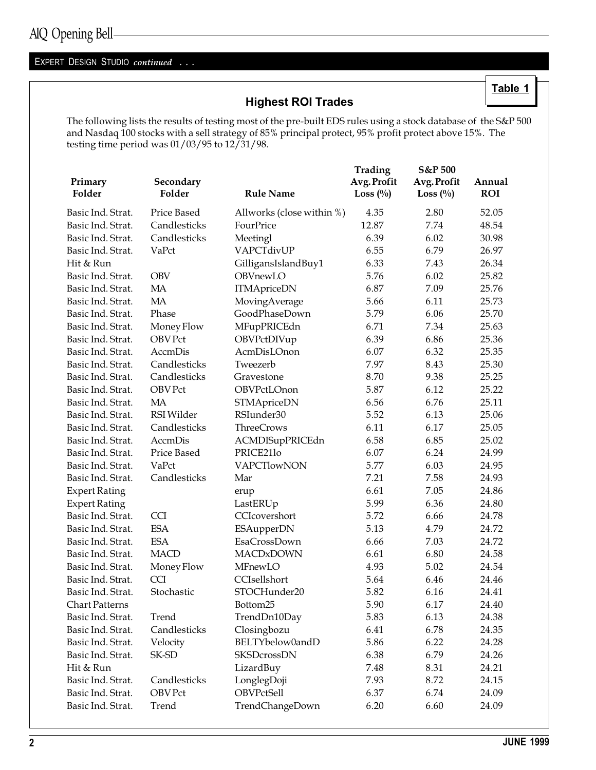### EXPERT DESIGN STUDIO continued . . .

### Highest ROI Trades

The following lists the results of testing most of the pre-built EDS rules using a stock database of the S&P 500 and Nasdaq 100 stocks with a sell strategy of 85% principal protect, 95% profit protect above 15%. The testing time period was 01/03/95 to 12/31/98.

|                       |                     |                           | Trading                    | S&P 500                    |                      |
|-----------------------|---------------------|---------------------------|----------------------------|----------------------------|----------------------|
| Primary<br>Folder     | Secondary<br>Folder | <b>Rule Name</b>          | Avg. Profit<br>Loss $(\%)$ | Avg. Profit<br>Loss $(\%)$ | Annual<br><b>ROI</b> |
| Basic Ind. Strat.     | Price Based         | Allworks (close within %) | 4.35                       | 2.80                       | 52.05                |
| Basic Ind. Strat.     | Candlesticks        | FourPrice                 | 12.87                      | 7.74                       | 48.54                |
| Basic Ind. Strat.     | Candlesticks        | Meetingl                  | 6.39                       | 6.02                       | 30.98                |
| Basic Ind. Strat.     | VaPct               | VAPCTdivUP                | 6.55                       | 6.79                       | 26.97                |
| Hit & Run             |                     | GilligansIslandBuy1       | 6.33                       | 7.43                       | 26.34                |
| Basic Ind. Strat.     | <b>OBV</b>          | OBVnewLO                  | 5.76                       | 6.02                       | 25.82                |
| Basic Ind. Strat.     | <b>MA</b>           | <b>ITMApriceDN</b>        | 6.87                       | 7.09                       | 25.76                |
| Basic Ind. Strat.     | MA                  | MovingAverage             | 5.66                       | 6.11                       | 25.73                |
| Basic Ind. Strat.     | Phase               | GoodPhaseDown             | 5.79                       | 6.06                       | 25.70                |
| Basic Ind. Strat.     | Money Flow          | MFupPRICEdn               | 6.71                       | 7.34                       | 25.63                |
| Basic Ind. Strat.     | <b>OBV Pct</b>      | OBVPctDIVup               | 6.39                       | 6.86                       | 25.36                |
| Basic Ind. Strat.     | AccmDis             | AcmDisLOnon               | 6.07                       | 6.32                       | 25.35                |
| Basic Ind. Strat.     | Candlesticks        | Tweezerb                  | 7.97                       | 8.43                       | 25.30                |
| Basic Ind. Strat.     | Candlesticks        | Gravestone                | 8.70                       | 9.38                       | 25.25                |
| Basic Ind. Strat.     | <b>OBV Pct</b>      | OBVPctLOnon               | 5.87                       | 6.12                       | 25.22                |
| Basic Ind. Strat.     | MA                  | <b>STMApriceDN</b>        | 6.56                       | 6.76                       | 25.11                |
| Basic Ind. Strat.     | <b>RSI</b> Wilder   | RSIunder30                | 5.52                       | 6.13                       | 25.06                |
| Basic Ind. Strat.     | Candlesticks        | <b>ThreeCrows</b>         | 6.11                       | 6.17                       | 25.05                |
| Basic Ind. Strat.     | <b>AccmDis</b>      | ACMDISupPRICEdn           | 6.58                       | 6.85                       | 25.02                |
| Basic Ind. Strat.     | Price Based         | PRICE21lo                 | 6.07                       | 6.24                       | 24.99                |
| Basic Ind. Strat.     | VaPct               | <b>VAPCTlowNON</b>        | 5.77                       | 6.03                       | 24.95                |
| Basic Ind. Strat.     | Candlesticks        | Mar                       | 7.21                       | 7.58                       | 24.93                |
| <b>Expert Rating</b>  |                     | erup                      | 6.61                       | 7.05                       | 24.86                |
| <b>Expert Rating</b>  |                     | LastERUp                  | 5.99                       | 6.36                       | 24.80                |
| Basic Ind. Strat.     | <b>CCI</b>          | CCIcovershort             | 5.72                       | 6.66                       | 24.78                |
| Basic Ind. Strat.     | <b>ESA</b>          | <b>ESAupperDN</b>         | 5.13                       | 4.79                       | 24.72                |
| Basic Ind. Strat.     | <b>ESA</b>          | EsaCrossDown              | 6.66                       | 7.03                       | 24.72                |
| Basic Ind. Strat.     | <b>MACD</b>         | <b>MACDxDOWN</b>          | 6.61                       | 6.80                       | 24.58                |
| Basic Ind. Strat.     | Money Flow          | MFnewLO                   | 4.93                       | 5.02                       | 24.54                |
| Basic Ind. Strat.     | <b>CCI</b>          | CCIsellshort              | 5.64                       | 6.46                       | 24.46                |
| Basic Ind. Strat.     | Stochastic          | STOCHunder20              | 5.82                       | 6.16                       | 24.41                |
| <b>Chart Patterns</b> |                     | Bottom25                  | 5.90                       | 6.17                       | 24.40                |
| Basic Ind. Strat.     | Trend               | TrendDn10Day              | 5.83                       | 6.13                       | 24.38                |
| Basic Ind. Strat.     | Candlesticks        | Closingbozu               | 6.41                       | 6.78                       | 24.35                |
| Basic Ind. Strat.     | Velocity            | BELTYbelow0andD           | 5.86                       | 6.22                       | 24.28                |
| Basic Ind. Strat.     | SK-SD               | <b>SKSDcrossDN</b>        | 6.38                       | 6.79                       | 24.26                |
| Hit & Run             |                     | LizardBuy                 | 7.48                       | 8.31                       | 24.21                |
| Basic Ind. Strat.     | Candlesticks        | LonglegDoji               | 7.93                       | 8.72                       | 24.15                |
| Basic Ind. Strat.     | OBV Pct             | OBVPctSell                | 6.37                       | 6.74                       | 24.09                |
| Basic Ind. Strat.     | Trend               | TrendChangeDown           | 6.20                       | 6.60                       | 24.09                |

Table 1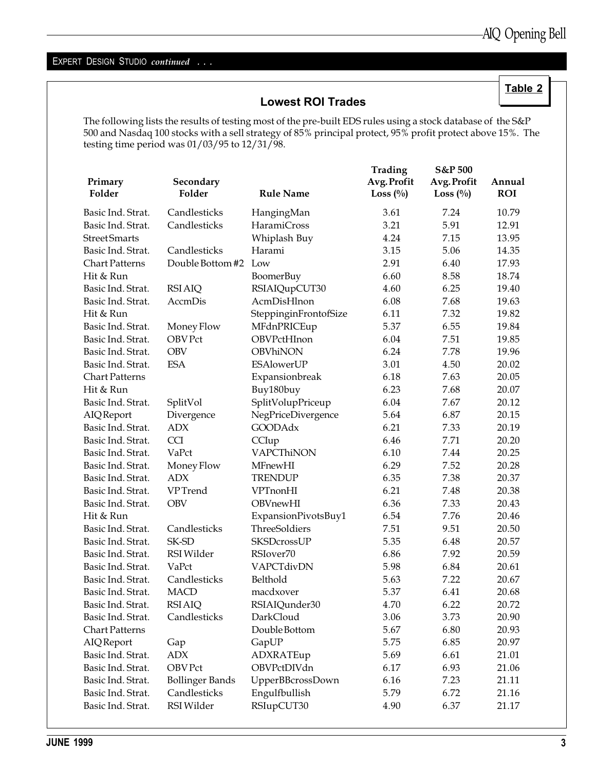Table 2

### EXPERT DESIGN STUDIO continued . . .

### Lowest ROI Trades

The following lists the results of testing most of the pre-built EDS rules using a stock database of the S&P 500 and Nasdaq 100 stocks with a sell strategy of 85% principal protect, 95% profit protect above 15%. The testing time period was 01/03/95 to 12/31/98.

|                       |                        |                       | Trading     | S&P 500     |            |
|-----------------------|------------------------|-----------------------|-------------|-------------|------------|
| Primary               | Secondary              |                       | Avg. Profit | Avg. Profit | Annual     |
| Folder                | Folder                 | <b>Rule Name</b>      | Loss $(\%)$ | Loss $(\%)$ | <b>ROI</b> |
| Basic Ind. Strat.     | Candlesticks           | HangingMan            | 3.61        | 7.24        | 10.79      |
| Basic Ind. Strat.     | Candlesticks           | <b>HaramiCross</b>    | 3.21        | 5.91        | 12.91      |
| <b>Street Smarts</b>  |                        | Whiplash Buy          | 4.24        | 7.15        | 13.95      |
| Basic Ind. Strat.     | Candlesticks           | Harami                | 3.15        | 5.06        | 14.35      |
| <b>Chart Patterns</b> | Double Bottom #2       | Low                   | 2.91        | 6.40        | 17.93      |
| Hit & Run             |                        | BoomerBuy             | 6.60        | 8.58        | 18.74      |
| Basic Ind. Strat.     | <b>RSI AIQ</b>         | RSIAIQupCUT30         | 4.60        | 6.25        | 19.40      |
| Basic Ind. Strat.     | AccmDis                | AcmDisHlnon           | 6.08        | 7.68        | 19.63      |
| Hit & Run             |                        | SteppinginFrontofSize | 6.11        | 7.32        | 19.82      |
| Basic Ind. Strat.     | Money Flow             | MFdnPRICEup           | 5.37        | 6.55        | 19.84      |
| Basic Ind. Strat.     | <b>OBV Pct</b>         | OBVPctHInon           | 6.04        | 7.51        | 19.85      |
| Basic Ind. Strat.     | <b>OBV</b>             | OBVhiNON              | 6.24        | 7.78        | 19.96      |
| Basic Ind. Strat.     | <b>ESA</b>             | <b>ESAlowerUP</b>     | 3.01        | 4.50        | 20.02      |
| <b>Chart Patterns</b> |                        | Expansionbreak        | 6.18        | 7.63        | 20.05      |
| Hit & Run             |                        | Buy180buy             | 6.23        | 7.68        | 20.07      |
| Basic Ind. Strat.     | SplitVol               | SplitVolupPriceup     | 6.04        | 7.67        | 20.12      |
| <b>AIQ</b> Report     | Divergence             | NegPriceDivergence    | 5.64        | 6.87        | 20.15      |
| Basic Ind. Strat.     | <b>ADX</b>             | <b>GOODAdx</b>        | 6.21        | 7.33        | 20.19      |
| Basic Ind. Strat.     | <b>CCI</b>             | CCIup                 | 6.46        | 7.71        | 20.20      |
| Basic Ind. Strat.     | VaPct                  | VAPCThiNON            | 6.10        | 7.44        | 20.25      |
| Basic Ind. Strat.     | Money Flow             | MFnewHI               | 6.29        | 7.52        | 20.28      |
| Basic Ind. Strat.     | <b>ADX</b>             | <b>TRENDUP</b>        | 6.35        | 7.38        | 20.37      |
| Basic Ind. Strat.     | <b>VPTrend</b>         | VPTnonHI              | 6.21        | 7.48        | 20.38      |
| Basic Ind. Strat.     | <b>OBV</b>             | OBVnewHI              | 6.36        | 7.33        | 20.43      |
| Hit & Run             |                        | ExpansionPivotsBuy1   | 6.54        | 7.76        | 20.46      |
| Basic Ind. Strat.     | Candlesticks           | ThreeSoldiers         | 7.51        | 9.51        | 20.50      |
| Basic Ind. Strat.     | SK-SD                  | <b>SKSDcrossUP</b>    | 5.35        | 6.48        | 20.57      |
| Basic Ind. Strat.     | RSI Wilder             | RSIover70             | 6.86        | 7.92        | 20.59      |
| Basic Ind. Strat.     | VaPct                  | VAPCTdivDN            | 5.98        | 6.84        | 20.61      |
| Basic Ind. Strat.     | Candlesticks           | Belthold              | 5.63        | 7.22        | 20.67      |
| Basic Ind. Strat.     | <b>MACD</b>            | macdxover             | 5.37        | 6.41        | 20.68      |
| Basic Ind. Strat.     | <b>RSI AIQ</b>         | RSIAIQunder30         | 4.70        | 6.22        | 20.72      |
| Basic Ind. Strat.     | Candlesticks           | DarkCloud             | 3.06        | 3.73        | 20.90      |
| <b>Chart Patterns</b> |                        | Double Bottom         | 5.67        | 6.80        | 20.93      |
| AIQReport             | Gap                    | GapUP                 | 5.75        | 6.85        | 20.97      |
| Basic Ind. Strat.     | <b>ADX</b>             | ADXRATEup             | 5.69        | 6.61        | 21.01      |
| Basic Ind. Strat.     | <b>OBV Pct</b>         | OBVPctDIVdn           | 6.17        | 6.93        | 21.06      |
| Basic Ind. Strat.     | <b>Bollinger Bands</b> | UpperBBcrossDown      | 6.16        | 7.23        | 21.11      |
| Basic Ind. Strat.     | Candlesticks           | Engulfbullish         | 5.79        | 6.72        | 21.16      |
| Basic Ind. Strat.     | RSI Wilder             | RSIupCUT30            | 4.90        | 6.37        | 21.17      |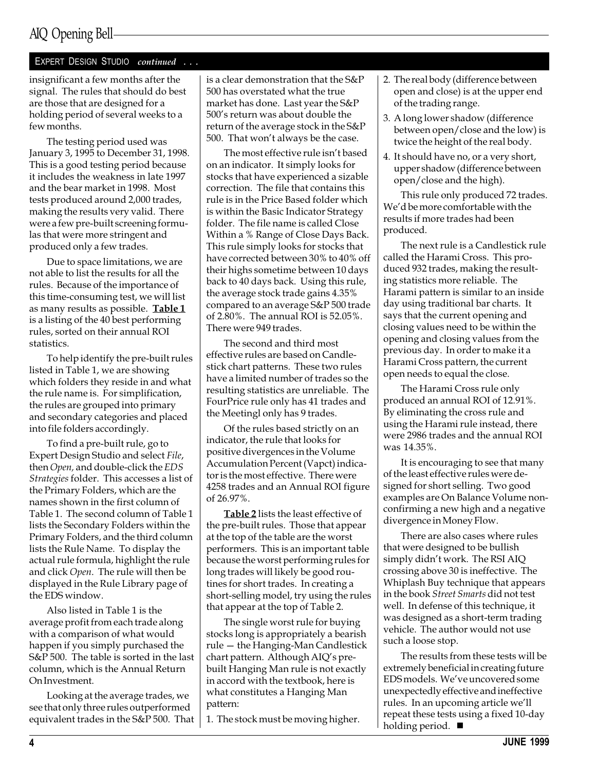### AIQ Opening Bell

### EXPERT DESIGN STUDIO continued . . .

insignificant a few months after the signal. The rules that should do best are those that are designed for a holding period of several weeks to a few months.

The testing period used was January 3, 1995 to December 31, 1998. This is a good testing period because it includes the weakness in late 1997 and the bear market in 1998. Most tests produced around 2,000 trades, making the results very valid. There were a few pre-built screening formulas that were more stringent and produced only a few trades.

Due to space limitations, we are not able to list the results for all the rules. Because of the importance of this time-consuming test, we will list as many results as possible. Table 1 is a listing of the 40 best performing rules, sorted on their annual ROI statistics.

To help identify the pre-built rules listed in Table 1, we are showing which folders they reside in and what the rule name is. For simplification, the rules are grouped into primary and secondary categories and placed into file folders accordingly.

To find a pre-built rule, go to Expert Design Studio and select File, then Open, and double-click the EDS Strategies folder. This accesses a list of the Primary Folders, which are the names shown in the first column of Table 1. The second column of Table 1 lists the Secondary Folders within the Primary Folders, and the third column lists the Rule Name. To display the actual rule formula, highlight the rule and click Open. The rule will then be displayed in the Rule Library page of the EDS window.

Also listed in Table 1 is the average profit from each trade along with a comparison of what would happen if you simply purchased the S&P 500. The table is sorted in the last column, which is the Annual Return On Investment.

Looking at the average trades, we see that only three rules outperformed equivalent trades in the S&P 500. That is a clear demonstration that the S&P 500 has overstated what the true market has done. Last year the S&P 500's return was about double the return of the average stock in the S&P 500. That won't always be the case.

The most effective rule isn't based on an indicator. It simply looks for stocks that have experienced a sizable correction. The file that contains this rule is in the Price Based folder which is within the Basic Indicator Strategy folder. The file name is called Close Within a % Range of Close Days Back. This rule simply looks for stocks that have corrected between 30% to 40% off their highs sometime between 10 days back to 40 days back. Using this rule, the average stock trade gains 4.35% compared to an average S&P 500 trade of 2.80%. The annual ROI is 52.05%. There were 949 trades.

The second and third most effective rules are based on Candlestick chart patterns. These two rules have a limited number of trades so the resulting statistics are unreliable. The FourPrice rule only has 41 trades and the Meetingl only has 9 trades.

Of the rules based strictly on an indicator, the rule that looks for positive divergences in the Volume Accumulation Percent (Vapct) indicator is the most effective. There were 4258 trades and an Annual ROI figure of 26.97%.

Table 2 lists the least effective of the pre-built rules. Those that appear at the top of the table are the worst performers. This is an important table because the worst performing rules for long trades will likely be good routines for short trades. In creating a short-selling model, try using the rules that appear at the top of Table 2.

The single worst rule for buying stocks long is appropriately a bearish rule - the Hanging-Man Candlestick chart pattern. Although AIQ's prebuilt Hanging Man rule is not exactly in accord with the textbook, here is what constitutes a Hanging Man pattern:

1. The stock must be moving higher.

- 2. The real body (difference between open and close) is at the upper end of the trading range.
- 3. A long lower shadow (difference between open/close and the low) is twice the height of the real body.
- 4. It should have no, or a very short, upper shadow (difference between open/close and the high).

This rule only produced 72 trades. We'd be more comfortable with the results if more trades had been produced.

The next rule is a Candlestick rule called the Harami Cross. This produced 932 trades, making the resulting statistics more reliable. The Harami pattern is similar to an inside day using traditional bar charts. It says that the current opening and closing values need to be within the opening and closing values from the previous day. In order to make it a Harami Cross pattern, the current open needs to equal the close.

The Harami Cross rule only produced an annual ROI of 12.91%. By eliminating the cross rule and using the Harami rule instead, there were 2986 trades and the annual ROI was 14.35%.

It is encouraging to see that many of the least effective rules were designed for short selling. Two good examples are On Balance Volume nonconfirming a new high and a negative divergence in Money Flow.

There are also cases where rules that were designed to be bullish simply didn't work. The RSI AIO crossing above 30 is ineffective. The Whiplash Buy technique that appears in the book Street Smarts did not test well. In defense of this technique, it was designed as a short-term trading vehicle. The author would not use such a loose stop.

The results from these tests will be extremely beneficial in creating future EDS models. We've uncovered some unexpectedly effective and ineffective rules. In an upcoming article we'll repeat these tests using a fixed 10-day holding period.  $\blacksquare$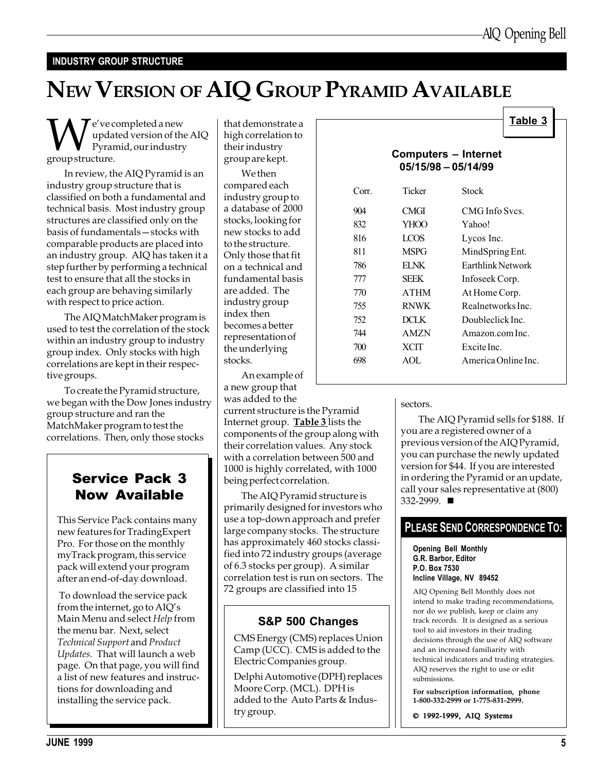Table 3

### INDUSTRY GROUP STRUCTURE

## NEW VERSION OF AIQ GROUP PYRAMID AVAILABLE

 $\displaystyle\bigvee_{\text{updated version of th}}$ <br>ryramid, our industry<br>group structure. updated version of the AIQ Pyramid, our industry group structure.

In review, the AIQ Pyramid is an industry group structure that is classified on both a fundamental and technical basis. Most industry group structures are classified only on the basis of fundamentals - stocks with comparable products are placed into an industry group. AIQ has taken it a step further by performing a technical test to ensure that all the stocks in each group are behaving similarly with respect to price action.

The AIQ MatchMaker program is used to test the correlation of the stock within an industry group to industry group index. Only stocks with high correlations are kept in their respective groups.

To create the Pyramid structure, we began with the Dow Jones industry group structure and ran the MatchMaker program to test the correlations. Then, only those stocks

### Service Pack 3 Now Available

This Service Pack contains many new features for TradingExpert Pro. For those on the monthly myTrack program, this service pack will extend your program after an end-of-day download.

 To download the service pack from the internet, go to  $\text{AlQ}'\text{s}$ Main Menu and select Help from the menu bar. Next, select Technical Support and Product Updates. That will launch a web page. On that page, you will find a list of new features and instructions for downloading and installing the service pack.

that demonstrate a high correlation to their industry group are kept.

We then compared each industry group to a database of 2000 stocks, looking for new stocks to add to the structure. Only those that fit on a technical and fundamental basis are added. The industry group index then becomes a better representation of the underlying stocks.

An example of a new group that was added to the current structure is the Pyramid Internet group. **Table 3** lists the components of the group along with their correlation values. Any stock with a correlation between 500 and

being perfect correlation. The AIQ Pyramid structure is primarily designed for investors who use a top-down approach and prefer large company stocks. The structure has approximately 460 stocks classified into 72 industry groups (average of 6.3 stocks per group). A similar correlation test is run on sectors. The 72 groups are classified into 15

1000 is highly correlated, with 1000

### S&P 500 Changes

CMS Energy (CMS) replaces Union Camp (UCC). CMS is added to the Electric Companies group.

Delphi Automotive (DPH) replaces Moore Corp. (MCL). DPH is added to the Auto Parts & Industry group.

|       |                                                      | <b>Lable</b> 5      |
|-------|------------------------------------------------------|---------------------|
|       | <b>Computers – Internet</b><br>$05/15/98 - 05/14/99$ |                     |
| Corr. | Ticker                                               | Stock               |
| 904   | CMGI                                                 | CMG Info Sycs.      |
| 832   | YHOO                                                 | Yahoo!              |
| 816   | LCOS                                                 | Lycos Inc.          |
| 811   | <b>MSPG</b>                                          | MindSpring Ent.     |
| 786   | EI NK                                                | Earthlink Network   |
| 777   | SEEK                                                 | Infoseek Corp.      |
| 770   | <b>ATHM</b>                                          | At Home Corp.       |
| 755   | <b>RNWK</b>                                          | Realnetworks Inc.   |
| 752   | <b>DCLK</b>                                          | Doubleclick Inc.    |
| 744   | <b>AMZN</b>                                          | Amazon.com Inc.     |
| 700   | XCIT                                                 | Excite Inc.         |
| 698   | AOL                                                  | America Online Inc. |
|       |                                                      |                     |

#### sectors.

The AIQ Pyramid sells for \$188. If you are a registered owner of a previous version of the AIQ Pyramid, you can purchase the newly updated version for \$44. If you are interested in ordering the Pyramid or an update, call your sales representative at (800) 332-2999. ■

### PLEASE SEND CORRESPONDENCE TO:

Opening Bell Monthly G.R. Barbor, Editor P.O. Box 7530 Incline Village, NV 89452

AIQ Opening Bell Monthly does not intend to make trading recommendations, nor do we publish, keep or claim any track records. It is designed as a serious tool to aid investors in their trading decisions through the use of AIQ software and an increased familiarity with technical indicators and trading strategies. AIQ reserves the right to use or edit submissions.

For subscription information, phone 1-800-332-2999 or 1-775-831-2999.

© 1992-1999, AIQ Systems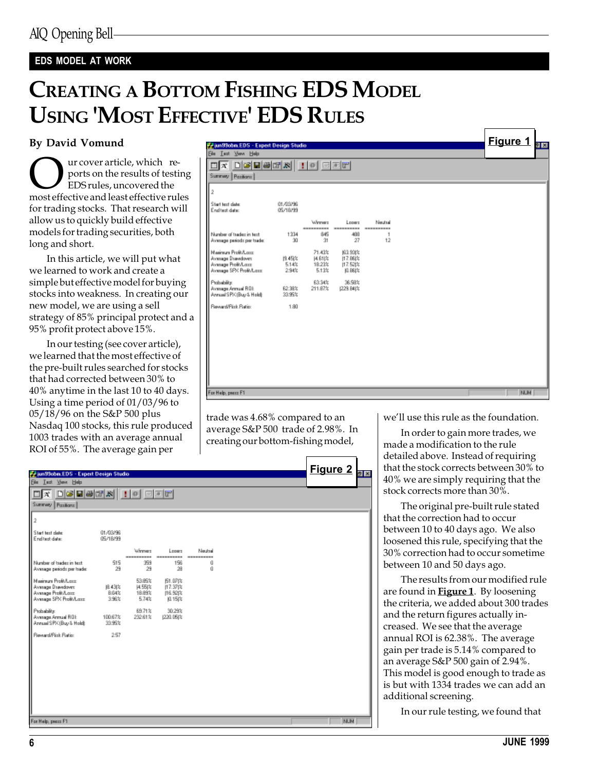### EDS MODEL AT WORK

### CREATING A BOTTOM FISHING EDS MODEL USING 'MOST EFFECTIVE' EDS RULES

### By David Vomund

Our cover article, which reports on the results of testing<br>
EDS rules, uncovered the<br>
most effective and least effective rules ports on the results of testing EDS rules, uncovered the for trading stocks. That research will allow us to quickly build effective models for trading securities, both long and short.

In this article, we will put what we learned to work and create a simple but effective model for buying stocks into weakness. In creating our new model, we are using a sell strategy of 85% principal protect and a 95% profit protect above 15%.

In our testing (see cover article), we learned that the most effective of the pre-built rules searched for stocks that had corrected between 30% to 40% anytime in the last 10 to 40 days. Using a time period of 01/03/96 to 05/18/96 on the S&P 500 plus Nasdaq 100 stocks, this rule produced 1003 trades with an average annual ROI of 55%. The average gain per

|                                                                      |                      |                   |                      |                 |  | Figure 1   |     |
|----------------------------------------------------------------------|----------------------|-------------------|----------------------|-----------------|--|------------|-----|
| <b>P.</b> Jun Stobm EDS - Expert Design Studio<br>Ele Lest Your Help |                      |                   |                      |                 |  |            | 인 명 |
| $\Box$ x $\Box$ Gebek $  \cdot  $ o $  \Box$ Er                      |                      |                   |                      |                 |  |            |     |
| Summary Pazitions                                                    |                      |                   |                      |                 |  |            |     |
|                                                                      |                      |                   |                      |                 |  |            |     |
| 2                                                                    |                      |                   |                      |                 |  |            |     |
| Start text date:<br>End test date:                                   | 01/03/96<br>05/18/99 |                   |                      |                 |  |            |     |
|                                                                      |                      | Weeners           | Longro               | Neutral         |  |            |     |
| Number of tradez in text.                                            | 1334                 | ----------<br>845 | ----------<br>488    | ----------<br>1 |  |            |     |
| Average periods per trade:                                           | 30                   | 31                | 27                   | 12              |  |            |     |
| Maginum Profit/Long<br>Avesage Dsavidovin:                           | 性45次                 | 71.43%<br>具刮齿     | 163,931%<br> 17.88 % |                 |  |            |     |
| Average Profit/Lass<br>Avesage SPX Profit/Last                       | 5.14%<br>2.94%       | 18.23%<br>5.13%   | 17.52(%<br>0.88状     |                 |  |            |     |
| Probability:                                                         |                      | 63.34%            | 36.58%               |                 |  |            |     |
| Avenage Armual ROE                                                   | 62.38%               | 211.87%           | [229.B4]%            |                 |  |            |     |
| Annual SPK (Buy & Hold):                                             | 33.95%               |                   |                      |                 |  |            |     |
| Reveald Fisk Ratio                                                   | 1.80                 |                   |                      |                 |  |            |     |
|                                                                      |                      |                   |                      |                 |  |            |     |
|                                                                      |                      |                   |                      |                 |  |            |     |
|                                                                      |                      |                   |                      |                 |  |            |     |
|                                                                      |                      |                   |                      |                 |  |            |     |
|                                                                      |                      |                   |                      |                 |  |            |     |
|                                                                      |                      |                   |                      |                 |  |            |     |
| For Help, peace F1                                                   |                      |                   |                      |                 |  | <b>NUM</b> |     |

trade was 4.68% compared to an average S&P 500 trade of 2.98%. In creating our bottom-fishing model,

| <b>With Stober EDS - Expert Design Studio</b>                                             |                               | $\sigma$ or $\sigma$ or $\sigma$             |                                          |                       |  | <b>Figure 2</b> |
|-------------------------------------------------------------------------------------------|-------------------------------|----------------------------------------------|------------------------------------------|-----------------------|--|-----------------|
| File Lect Your Help                                                                       |                               |                                              |                                          |                       |  |                 |
| Summary Pazitions                                                                         |                               |                                              |                                          |                       |  |                 |
| 2                                                                                         |                               |                                              |                                          |                       |  |                 |
| Start text date:<br>End test date:                                                        | 01/03/96<br>05/18/99          |                                              |                                          |                       |  |                 |
|                                                                                           |                               | Winner                                       | Loogra                                   | Neutral<br>---------- |  |                 |
| Number of tradez in text.<br>Average periods per trade:                                   | 515<br>29                     | 999<br>29                                    | 156<br>28                                | ű<br>ű                |  |                 |
| Mainun Profi/Loss<br>Average Drawdown:<br>Average Profit/Lass<br>Average SPX Profit/Lass: | 阻43次<br><b>B.04%</b><br>3.96% | 53.85%<br><b>JA 55(%)</b><br>18.89%<br>5.74% | f51.07)%<br>117.37比<br>116.521%<br>0.15次 |                       |  |                 |
| Probability:<br>Avenuge Armuel ROE<br>Annual SPK (Buy & Hold):                            | 100.67%<br>33.95%             | 69.71%<br>232.61%                            | 30.29%<br>(220.05)%                      |                       |  |                 |
| Reveald Fisk Ratio:                                                                       | 257                           |                                              |                                          |                       |  |                 |
|                                                                                           |                               |                                              |                                          |                       |  |                 |
|                                                                                           |                               |                                              |                                          |                       |  |                 |
|                                                                                           |                               |                                              |                                          |                       |  |                 |
| For Help, peace F1                                                                        |                               |                                              |                                          |                       |  | <b>NUM</b>      |

we'll use this rule as the foundation.

In order to gain more trades, we made a modification to the rule detailed above. Instead of requiring that the stock corrects between 30% to 40% we are simply requiring that the stock corrects more than 30%.

The original pre-built rule stated that the correction had to occur between 10 to 40 days ago. We also loosened this rule, specifying that the 30% correction had to occur sometime between 10 and 50 days ago.

The results from our modified rule are found in  $Figure 1$ . By loosening the criteria, we added about 300 trades and the return figures actually increased. We see that the average annual ROI is 62.38%. The average gain per trade is 5.14% compared to an average S&P 500 gain of 2.94%. This model is good enough to trade as is but with 1334 trades we can add an additional screening.

In our rule testing, we found that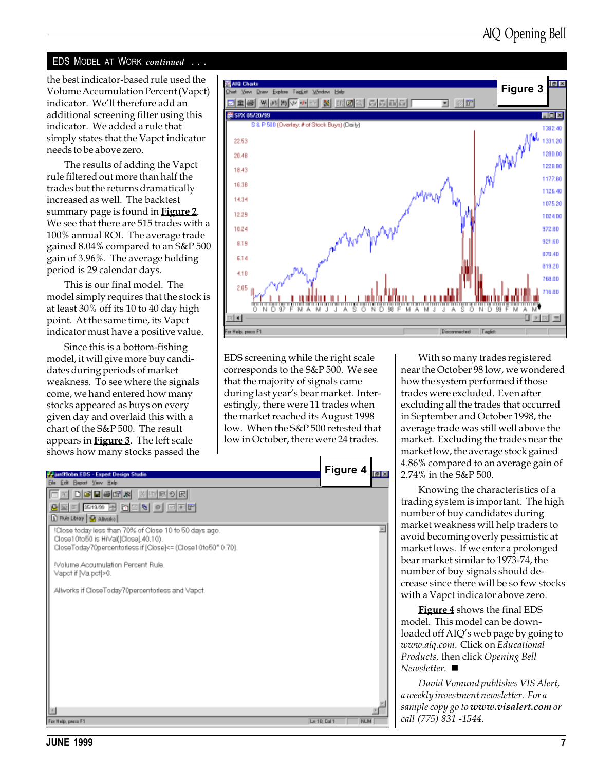#### EDS MODEL AT WORK *continued* ...

the best indicator-based rule used the Volume Accumulation Percent (Vapct) indicator. We'll therefore add an additional screening filter using this indicator. We added a rule that simply states that the Vapct indicator needs to be above zero.

The results of adding the Vapct rule filtered out more than half the trades but the returns dramatically increased as well. The backtest summary page is found in **Figure 2**. We see that there are 515 trades with a 100% annual ROI. The average trade gained 8.04% compared to an S&P 500 gain of 3.96%. The average holding period is 29 calendar days.

This is our final model. The model simply requires that the stock is at least 30% off its 10 to 40 day high point. At the same time, its Vapct indicator must have a positive value.

Since this is a bottom-fishing model, it will give more buy candidates during periods of market weakness. To see where the signals come, we hand entered how many stocks appeared as buys on every given day and overlaid this with a chart of the S&P 500. The result appears in Figure 3. The left scale shows how many stocks passed the



EDS screening while the right scale corresponds to the S&P 500. We see that the majority of signals came during last year's bear market. Interestingly, there were 11 trades when the market reached its August 1998 low. When the S&P 500 retested that low in October, there were 24 trades.



With so many trades registered near the October 98 low, we wondered how the system performed if those trades were excluded. Even after excluding all the trades that occurred in September and October 1998, the average trade was still well above the market. Excluding the trades near the market low, the average stock gained 4.86% compared to an average gain of 2.74% in the S&P 500.

Knowing the characteristics of a trading system is important. The high number of buy candidates during market weakness will help traders to avoid becoming overly pessimistic at market lows. If we enter a prolonged bear market similar to 1973-74, the number of buy signals should decrease since there will be so few stocks with a Vapct indicator above zero.

Figure 4 shows the final EDS model. This model can be downloaded off AIQ's web page by going to www.aiq.com. Click on Educational Products, then click Opening Bell  $Newsletter.$   $\blacksquare$ 

David Vomund publishes VIS Alert, a weekly investment newsletter. For a sample copy go to www.visalert.com or call (775) 831 -1544.